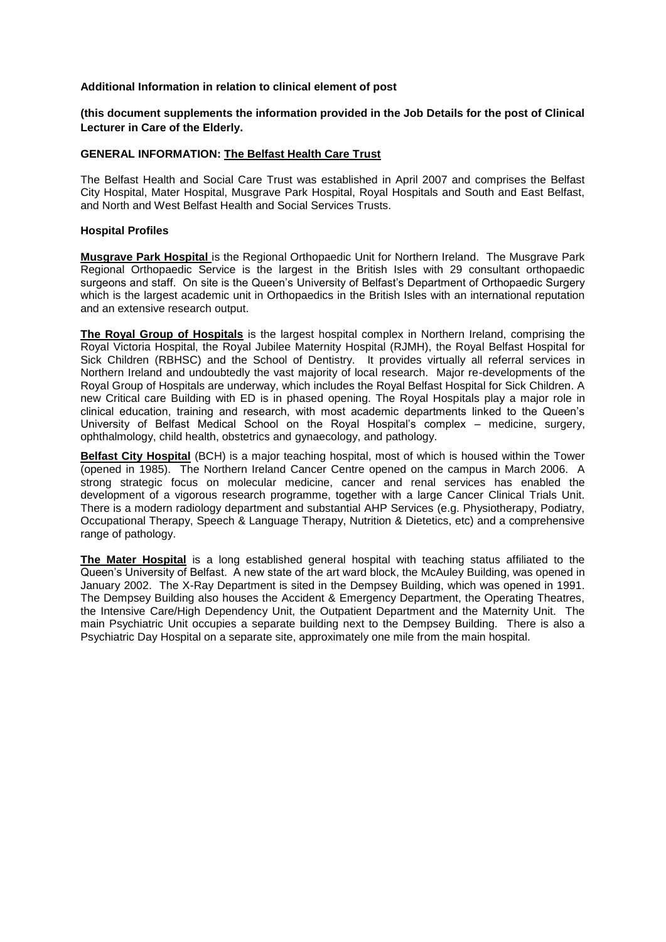#### **Additional Information in relation to clinical element of post**

**(this document supplements the information provided in the Job Details for the post of Clinical Lecturer in Care of the Elderly.**

# **GENERAL INFORMATION: The Belfast Health Care Trust**

The Belfast Health and Social Care Trust was established in April 2007 and comprises the Belfast City Hospital, Mater Hospital, Musgrave Park Hospital, Royal Hospitals and South and East Belfast, and North and West Belfast Health and Social Services Trusts.

#### **Hospital Profiles**

**Musgrave Park Hospital** is the Regional Orthopaedic Unit for Northern Ireland. The Musgrave Park Regional Orthopaedic Service is the largest in the British Isles with 29 consultant orthopaedic surgeons and staff. On site is the Queen's University of Belfast's Department of Orthopaedic Surgery which is the largest academic unit in Orthopaedics in the British Isles with an international reputation and an extensive research output.

**The Royal Group of Hospitals** is the largest hospital complex in Northern Ireland, comprising the Royal Victoria Hospital, the Royal Jubilee Maternity Hospital (RJMH), the Royal Belfast Hospital for Sick Children (RBHSC) and the School of Dentistry. It provides virtually all referral services in Northern Ireland and undoubtedly the vast majority of local research. Major re-developments of the Royal Group of Hospitals are underway, which includes the Royal Belfast Hospital for Sick Children. A new Critical care Building with ED is in phased opening. The Royal Hospitals play a major role in clinical education, training and research, with most academic departments linked to the Queen's University of Belfast Medical School on the Royal Hospital's complex – medicine, surgery, ophthalmology, child health, obstetrics and gynaecology, and pathology.

**Belfast City Hospital** (BCH) is a major teaching hospital, most of which is housed within the Tower (opened in 1985). The Northern Ireland Cancer Centre opened on the campus in March 2006. A strong strategic focus on molecular medicine, cancer and renal services has enabled the development of a vigorous research programme, together with a large Cancer Clinical Trials Unit. There is a modern radiology department and substantial AHP Services (e.g. Physiotherapy, Podiatry, Occupational Therapy, Speech & Language Therapy, Nutrition & Dietetics, etc) and a comprehensive range of pathology.

**The Mater Hospital** is a long established general hospital with teaching status affiliated to the Queen's University of Belfast. A new state of the art ward block, the McAuley Building, was opened in January 2002. The X-Ray Department is sited in the Dempsey Building, which was opened in 1991. The Dempsey Building also houses the Accident & Emergency Department, the Operating Theatres, the Intensive Care/High Dependency Unit, the Outpatient Department and the Maternity Unit. The main Psychiatric Unit occupies a separate building next to the Dempsey Building. There is also a Psychiatric Day Hospital on a separate site, approximately one mile from the main hospital.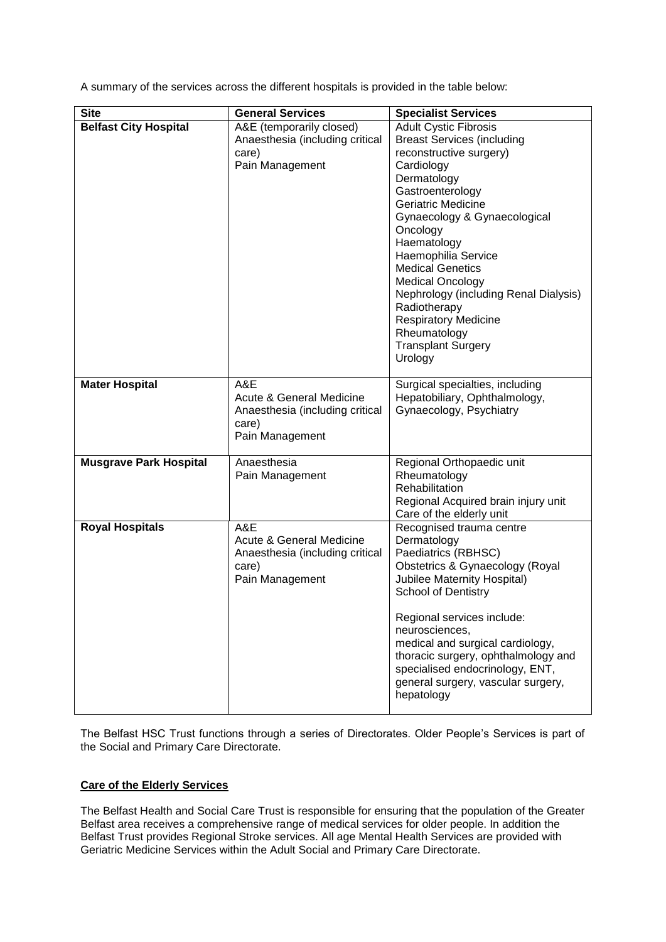A summary of the services across the different hospitals is provided in the table below:

| <b>Site</b>                   | <b>General Services</b>                                                                        | <b>Specialist Services</b>                                                                                                                                                                                                                                                                                                                                                                                                                                         |
|-------------------------------|------------------------------------------------------------------------------------------------|--------------------------------------------------------------------------------------------------------------------------------------------------------------------------------------------------------------------------------------------------------------------------------------------------------------------------------------------------------------------------------------------------------------------------------------------------------------------|
| <b>Belfast City Hospital</b>  | A&E (temporarily closed)<br>Anaesthesia (including critical<br>care)<br>Pain Management        | <b>Adult Cystic Fibrosis</b><br><b>Breast Services (including</b><br>reconstructive surgery)<br>Cardiology<br>Dermatology<br>Gastroenterology<br><b>Geriatric Medicine</b><br>Gynaecology & Gynaecological<br>Oncology<br>Haematology<br>Haemophilia Service<br><b>Medical Genetics</b><br><b>Medical Oncology</b><br>Nephrology (including Renal Dialysis)<br>Radiotherapy<br><b>Respiratory Medicine</b><br>Rheumatology<br><b>Transplant Surgery</b><br>Urology |
| <b>Mater Hospital</b>         | A&E<br>Acute & General Medicine<br>Anaesthesia (including critical<br>care)<br>Pain Management | Surgical specialties, including<br>Hepatobiliary, Ophthalmology,<br>Gynaecology, Psychiatry                                                                                                                                                                                                                                                                                                                                                                        |
| <b>Musgrave Park Hospital</b> | Anaesthesia<br>Pain Management                                                                 | Regional Orthopaedic unit<br>Rheumatology<br>Rehabilitation<br>Regional Acquired brain injury unit<br>Care of the elderly unit                                                                                                                                                                                                                                                                                                                                     |
| <b>Royal Hospitals</b>        | A&E<br>Acute & General Medicine<br>Anaesthesia (including critical<br>care)<br>Pain Management | Recognised trauma centre<br>Dermatology<br>Paediatrics (RBHSC)<br>Obstetrics & Gynaecology (Royal<br><b>Jubilee Maternity Hospital)</b><br><b>School of Dentistry</b><br>Regional services include:<br>neurosciences,<br>medical and surgical cardiology,<br>thoracic surgery, ophthalmology and<br>specialised endocrinology, ENT,<br>general surgery, vascular surgery,<br>hepatology                                                                            |

The Belfast HSC Trust functions through a series of Directorates. Older People's Services is part of the Social and Primary Care Directorate.

# **Care of the Elderly Services**

The Belfast Health and Social Care Trust is responsible for ensuring that the population of the Greater Belfast area receives a comprehensive range of medical services for older people. In addition the Belfast Trust provides Regional Stroke services. All age Mental Health Services are provided with Geriatric Medicine Services within the Adult Social and Primary Care Directorate.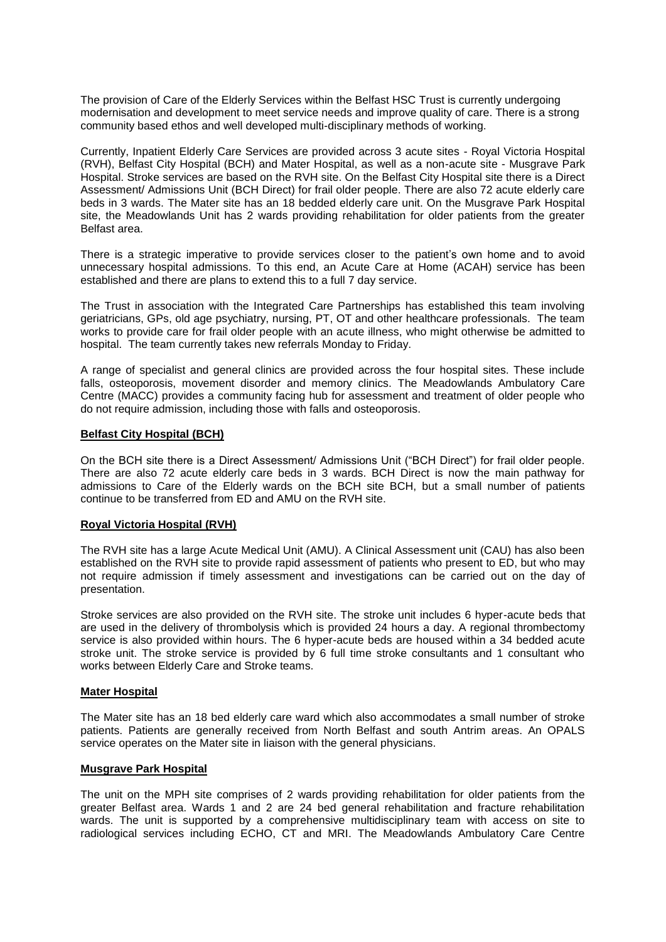The provision of Care of the Elderly Services within the Belfast HSC Trust is currently undergoing modernisation and development to meet service needs and improve quality of care. There is a strong community based ethos and well developed multi-disciplinary methods of working.

Currently, Inpatient Elderly Care Services are provided across 3 acute sites - Royal Victoria Hospital (RVH), Belfast City Hospital (BCH) and Mater Hospital, as well as a non-acute site - Musgrave Park Hospital. Stroke services are based on the RVH site. On the Belfast City Hospital site there is a Direct Assessment/ Admissions Unit (BCH Direct) for frail older people. There are also 72 acute elderly care beds in 3 wards. The Mater site has an 18 bedded elderly care unit. On the Musgrave Park Hospital site, the Meadowlands Unit has 2 wards providing rehabilitation for older patients from the greater Belfast area.

There is a strategic imperative to provide services closer to the patient's own home and to avoid unnecessary hospital admissions. To this end, an Acute Care at Home (ACAH) service has been established and there are plans to extend this to a full 7 day service.

The Trust in association with the Integrated Care Partnerships has established this team involving geriatricians, GPs, old age psychiatry, nursing, PT, OT and other healthcare professionals. The team works to provide care for frail older people with an acute illness, who might otherwise be admitted to hospital. The team currently takes new referrals Monday to Friday.

A range of specialist and general clinics are provided across the four hospital sites. These include falls, osteoporosis, movement disorder and memory clinics. The Meadowlands Ambulatory Care Centre (MACC) provides a community facing hub for assessment and treatment of older people who do not require admission, including those with falls and osteoporosis.

# **Belfast City Hospital (BCH)**

On the BCH site there is a Direct Assessment/ Admissions Unit ("BCH Direct") for frail older people. There are also 72 acute elderly care beds in 3 wards. BCH Direct is now the main pathway for admissions to Care of the Elderly wards on the BCH site BCH, but a small number of patients continue to be transferred from ED and AMU on the RVH site.

#### **Royal Victoria Hospital (RVH)**

The RVH site has a large Acute Medical Unit (AMU). A Clinical Assessment unit (CAU) has also been established on the RVH site to provide rapid assessment of patients who present to ED, but who may not require admission if timely assessment and investigations can be carried out on the day of presentation.

Stroke services are also provided on the RVH site. The stroke unit includes 6 hyper-acute beds that are used in the delivery of thrombolysis which is provided 24 hours a day. A regional thrombectomy service is also provided within hours. The 6 hyper-acute beds are housed within a 34 bedded acute stroke unit. The stroke service is provided by 6 full time stroke consultants and 1 consultant who works between Elderly Care and Stroke teams.

#### **Mater Hospital**

The Mater site has an 18 bed elderly care ward which also accommodates a small number of stroke patients. Patients are generally received from North Belfast and south Antrim areas. An OPALS service operates on the Mater site in liaison with the general physicians.

# **Musgrave Park Hospital**

The unit on the MPH site comprises of 2 wards providing rehabilitation for older patients from the greater Belfast area. Wards 1 and 2 are 24 bed general rehabilitation and fracture rehabilitation wards. The unit is supported by a comprehensive multidisciplinary team with access on site to radiological services including ECHO, CT and MRI. The Meadowlands Ambulatory Care Centre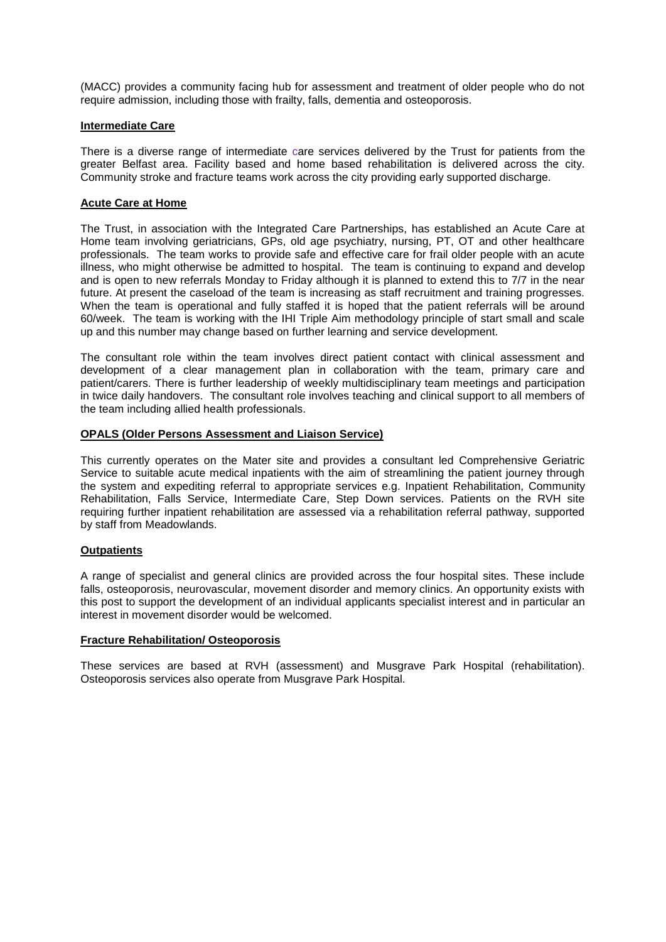(MACC) provides a community facing hub for assessment and treatment of older people who do not require admission, including those with frailty, falls, dementia and osteoporosis.

#### **Intermediate Care**

There is a diverse range of intermediate care services delivered by the Trust for patients from the greater Belfast area. Facility based and home based rehabilitation is delivered across the city. Community stroke and fracture teams work across the city providing early supported discharge.

#### **Acute Care at Home**

The Trust, in association with the Integrated Care Partnerships, has established an Acute Care at Home team involving geriatricians, GPs, old age psychiatry, nursing, PT, OT and other healthcare professionals. The team works to provide safe and effective care for frail older people with an acute illness, who might otherwise be admitted to hospital. The team is continuing to expand and develop and is open to new referrals Monday to Friday although it is planned to extend this to 7/7 in the near future. At present the caseload of the team is increasing as staff recruitment and training progresses. When the team is operational and fully staffed it is hoped that the patient referrals will be around 60/week. The team is working with the IHI Triple Aim methodology principle of start small and scale up and this number may change based on further learning and service development.

The consultant role within the team involves direct patient contact with clinical assessment and development of a clear management plan in collaboration with the team, primary care and patient/carers. There is further leadership of weekly multidisciplinary team meetings and participation in twice daily handovers. The consultant role involves teaching and clinical support to all members of the team including allied health professionals.

# **OPALS (Older Persons Assessment and Liaison Service)**

This currently operates on the Mater site and provides a consultant led Comprehensive Geriatric Service to suitable acute medical inpatients with the aim of streamlining the patient journey through the system and expediting referral to appropriate services e.g. Inpatient Rehabilitation, Community Rehabilitation, Falls Service, Intermediate Care, Step Down services. Patients on the RVH site requiring further inpatient rehabilitation are assessed via a rehabilitation referral pathway, supported by staff from Meadowlands.

#### **Outpatients**

A range of specialist and general clinics are provided across the four hospital sites. These include falls, osteoporosis, neurovascular, movement disorder and memory clinics. An opportunity exists with this post to support the development of an individual applicants specialist interest and in particular an interest in movement disorder would be welcomed.

#### **Fracture Rehabilitation/ Osteoporosis**

These services are based at RVH (assessment) and Musgrave Park Hospital (rehabilitation). Osteoporosis services also operate from Musgrave Park Hospital.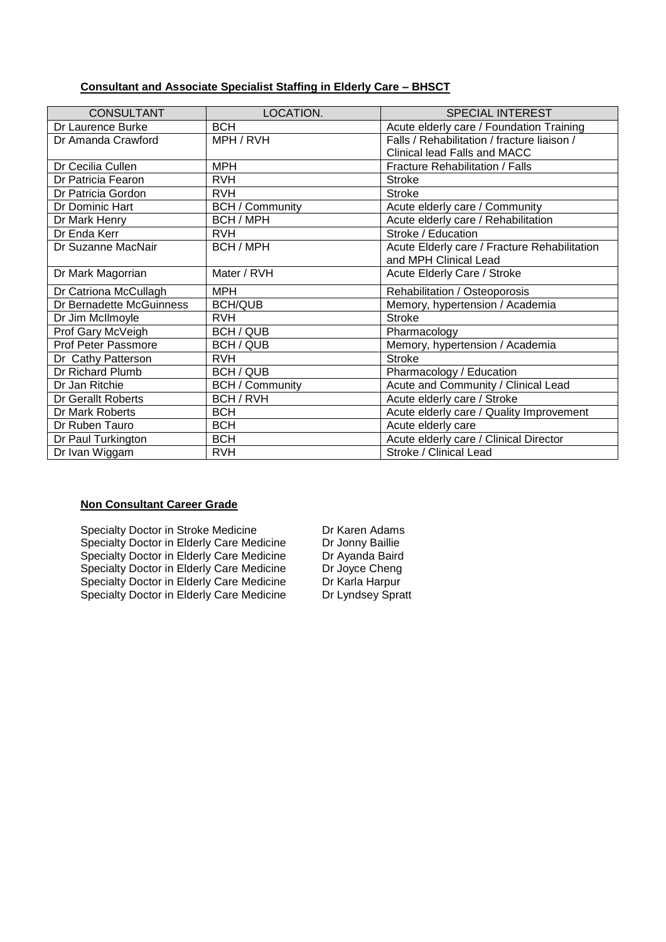# **Consultant and Associate Specialist Staffing in Elderly Care – BHSCT**

| <b>CONSULTANT</b>        | LOCATION.              | <b>SPECIAL INTEREST</b>                      |
|--------------------------|------------------------|----------------------------------------------|
| Dr Laurence Burke        | <b>BCH</b>             | Acute elderly care / Foundation Training     |
| Dr Amanda Crawford       | MPH / RVH              | Falls / Rehabilitation / fracture liaison /  |
|                          |                        | Clinical lead Falls and MACC                 |
| Dr Cecilia Cullen        | <b>MPH</b>             | <b>Fracture Rehabilitation / Falls</b>       |
| Dr Patricia Fearon       | <b>RVH</b>             | <b>Stroke</b>                                |
| Dr Patricia Gordon       | <b>RVH</b>             | <b>Stroke</b>                                |
| Dr Dominic Hart          | <b>BCH / Community</b> | Acute elderly care / Community               |
| Dr Mark Henry            | BCH / MPH              | Acute elderly care / Rehabilitation          |
| Dr Enda Kerr             | <b>RVH</b>             | Stroke / Education                           |
| Dr Suzanne MacNair       | BCH / MPH              | Acute Elderly care / Fracture Rehabilitation |
|                          |                        | and MPH Clinical Lead                        |
| Dr Mark Magorrian        | Mater / RVH            | Acute Elderly Care / Stroke                  |
| Dr Catriona McCullagh    | <b>MPH</b>             | Rehabilitation / Osteoporosis                |
| Dr Bernadette McGuinness | <b>BCH/QUB</b>         | Memory, hypertension / Academia              |
| Dr Jim McIlmoyle         | <b>RVH</b>             | <b>Stroke</b>                                |
| Prof Gary McVeigh        | BCH / QUB              | Pharmacology                                 |
| Prof Peter Passmore      | BCH / QUB              | Memory, hypertension / Academia              |
| Dr Cathy Patterson       | <b>RVH</b>             | <b>Stroke</b>                                |
| Dr Richard Plumb         | BCH / QUB              | Pharmacology / Education                     |
| Dr Jan Ritchie           | <b>BCH / Community</b> | Acute and Community / Clinical Lead          |
| Dr Gerallt Roberts       | BCH / RVH              | Acute elderly care / Stroke                  |
| Dr Mark Roberts          | <b>BCH</b>             | Acute elderly care / Quality Improvement     |
| Dr Ruben Tauro           | <b>BCH</b>             | Acute elderly care                           |
| Dr Paul Turkington       | <b>BCH</b>             | Acute elderly care / Clinical Director       |
| Dr Ivan Wiggam           | <b>RVH</b>             | Stroke / Clinical Lead                       |

# **Non Consultant Career Grade**

Specialty Doctor in Stroke Medicine Dr Karen Adams<br>Specialty Doctor in Elderly Care Medicine Dr Jonny Baillie Specialty Doctor in Elderly Care Medicine Dr Jonny Baillie<br>Specialty Doctor in Elderly Care Medicine Dr Ayanda Baird Specialty Doctor in Elderly Care Medicine<br>
Specialty Doctor in Elderly Care Medicine Dr Ayanda Baird<br>
Dr Joyce Cheng Specialty Doctor in Elderly Care Medicine Dr Joyce Cheng<br>Specialty Doctor in Elderly Care Medicine Dr Karla Harpur Specialty Doctor in Elderly Care Medicine Dr Karla Harpur<br>
Specialty Doctor in Elderly Care Medicine Dr Lyndsey Spratt Specialty Doctor in Elderly Care Medicine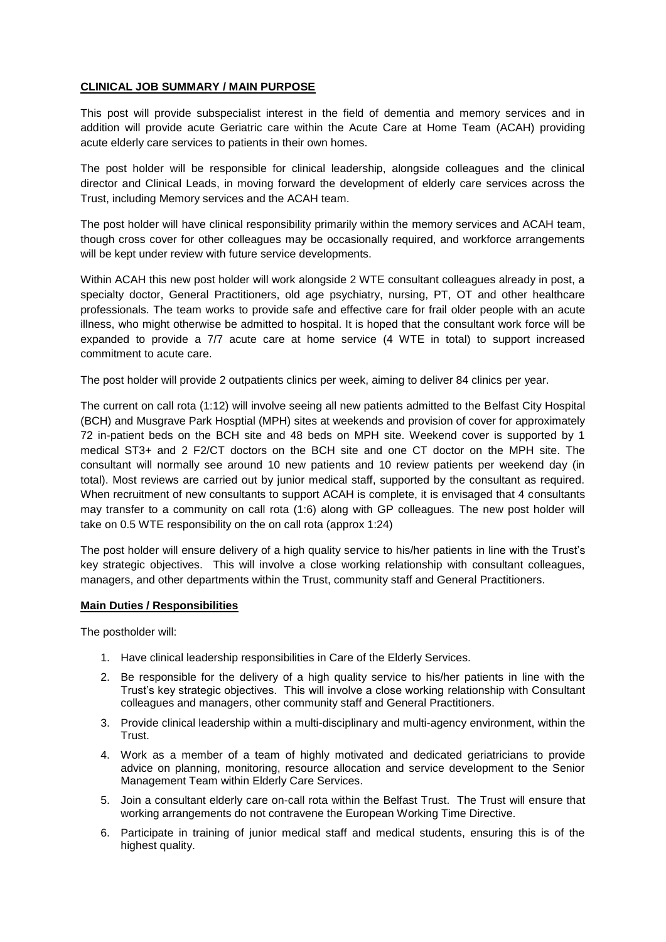# **CLINICAL JOB SUMMARY / MAIN PURPOSE**

This post will provide subspecialist interest in the field of dementia and memory services and in addition will provide acute Geriatric care within the Acute Care at Home Team (ACAH) providing acute elderly care services to patients in their own homes.

The post holder will be responsible for clinical leadership, alongside colleagues and the clinical director and Clinical Leads, in moving forward the development of elderly care services across the Trust, including Memory services and the ACAH team.

The post holder will have clinical responsibility primarily within the memory services and ACAH team, though cross cover for other colleagues may be occasionally required, and workforce arrangements will be kept under review with future service developments.

Within ACAH this new post holder will work alongside 2 WTE consultant colleagues already in post, a specialty doctor, General Practitioners, old age psychiatry, nursing, PT, OT and other healthcare professionals. The team works to provide safe and effective care for frail older people with an acute illness, who might otherwise be admitted to hospital. It is hoped that the consultant work force will be expanded to provide a 7/7 acute care at home service (4 WTE in total) to support increased commitment to acute care.

The post holder will provide 2 outpatients clinics per week, aiming to deliver 84 clinics per year.

The current on call rota (1:12) will involve seeing all new patients admitted to the Belfast City Hospital (BCH) and Musgrave Park Hosptial (MPH) sites at weekends and provision of cover for approximately 72 in-patient beds on the BCH site and 48 beds on MPH site. Weekend cover is supported by 1 medical ST3+ and 2 F2/CT doctors on the BCH site and one CT doctor on the MPH site. The consultant will normally see around 10 new patients and 10 review patients per weekend day (in total). Most reviews are carried out by junior medical staff, supported by the consultant as required. When recruitment of new consultants to support ACAH is complete, it is envisaged that 4 consultants may transfer to a community on call rota (1:6) along with GP colleagues. The new post holder will take on 0.5 WTE responsibility on the on call rota (approx 1:24)

The post holder will ensure delivery of a high quality service to his/her patients in line with the Trust's key strategic objectives. This will involve a close working relationship with consultant colleagues, managers, and other departments within the Trust, community staff and General Practitioners.

# **Main Duties / Responsibilities**

The postholder will:

- 1. Have clinical leadership responsibilities in Care of the Elderly Services.
- 2. Be responsible for the delivery of a high quality service to his/her patients in line with the Trust's key strategic objectives. This will involve a close working relationship with Consultant colleagues and managers, other community staff and General Practitioners.
- 3. Provide clinical leadership within a multi-disciplinary and multi-agency environment, within the Trust.
- 4. Work as a member of a team of highly motivated and dedicated geriatricians to provide advice on planning, monitoring, resource allocation and service development to the Senior Management Team within Elderly Care Services.
- 5. Join a consultant elderly care on-call rota within the Belfast Trust. The Trust will ensure that working arrangements do not contravene the European Working Time Directive.
- 6. Participate in training of junior medical staff and medical students, ensuring this is of the highest quality.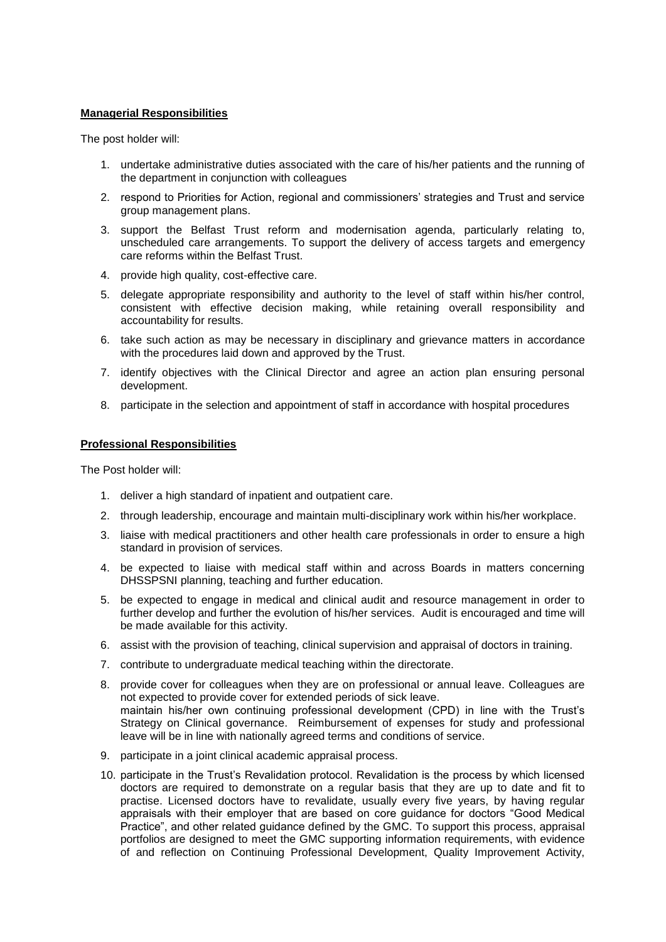#### **Managerial Responsibilities**

The post holder will:

- 1. undertake administrative duties associated with the care of his/her patients and the running of the department in conjunction with colleagues
- 2. respond to Priorities for Action, regional and commissioners' strategies and Trust and service group management plans.
- 3. support the Belfast Trust reform and modernisation agenda, particularly relating to, unscheduled care arrangements. To support the delivery of access targets and emergency care reforms within the Belfast Trust.
- 4. provide high quality, cost-effective care.
- 5. delegate appropriate responsibility and authority to the level of staff within his/her control, consistent with effective decision making, while retaining overall responsibility and accountability for results.
- 6. take such action as may be necessary in disciplinary and grievance matters in accordance with the procedures laid down and approved by the Trust.
- 7. identify objectives with the Clinical Director and agree an action plan ensuring personal development.
- 8. participate in the selection and appointment of staff in accordance with hospital procedures

#### **Professional Responsibilities**

The Post holder will:

- 1. deliver a high standard of inpatient and outpatient care.
- 2. through leadership, encourage and maintain multi-disciplinary work within his/her workplace.
- 3. liaise with medical practitioners and other health care professionals in order to ensure a high standard in provision of services.
- 4. be expected to liaise with medical staff within and across Boards in matters concerning DHSSPSNI planning, teaching and further education.
- 5. be expected to engage in medical and clinical audit and resource management in order to further develop and further the evolution of his/her services. Audit is encouraged and time will be made available for this activity.
- 6. assist with the provision of teaching, clinical supervision and appraisal of doctors in training.
- 7. contribute to undergraduate medical teaching within the directorate.
- 8. provide cover for colleagues when they are on professional or annual leave. Colleagues are not expected to provide cover for extended periods of sick leave. maintain his/her own continuing professional development (CPD) in line with the Trust's Strategy on Clinical governance. Reimbursement of expenses for study and professional leave will be in line with nationally agreed terms and conditions of service.
- 9. participate in a joint clinical academic appraisal process.
- 10. participate in the Trust's Revalidation protocol. Revalidation is the process by which licensed doctors are required to demonstrate on a regular basis that they are up to date and fit to practise. Licensed doctors have to revalidate, usually every five years, by having regular appraisals with their employer that are based on core guidance for doctors "Good Medical Practice", and other related guidance defined by the GMC. To support this process, appraisal portfolios are designed to meet the GMC supporting information requirements, with evidence of and reflection on Continuing Professional Development, Quality Improvement Activity,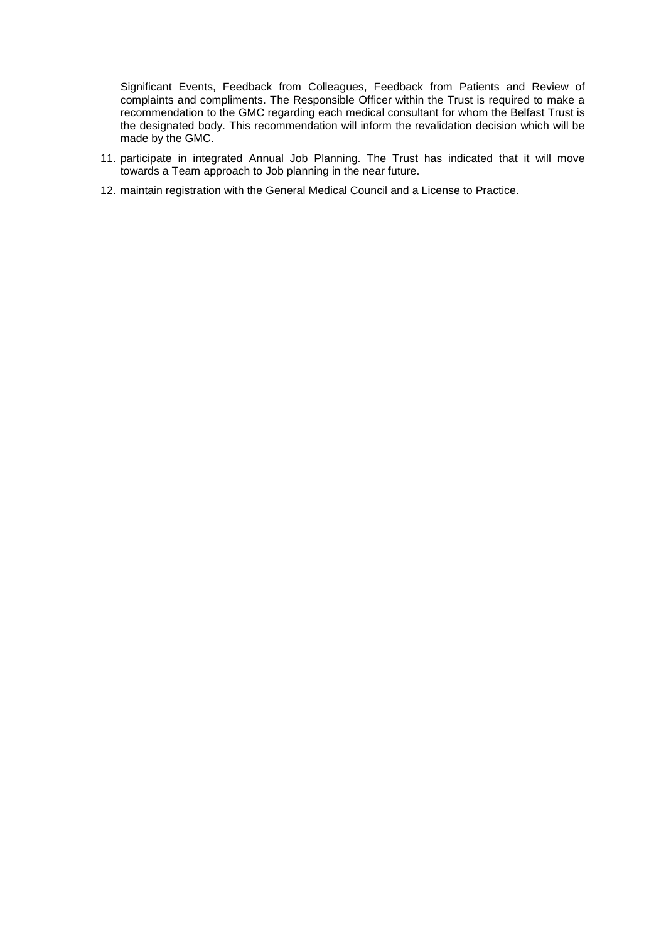Significant Events, Feedback from Colleagues, Feedback from Patients and Review of complaints and compliments. The Responsible Officer within the Trust is required to make a recommendation to the GMC regarding each medical consultant for whom the Belfast Trust is the designated body. This recommendation will inform the revalidation decision which will be made by the GMC.

- 11. participate in integrated Annual Job Planning. The Trust has indicated that it will move towards a Team approach to Job planning in the near future.
- 12. maintain registration with the General Medical Council and a License to Practice.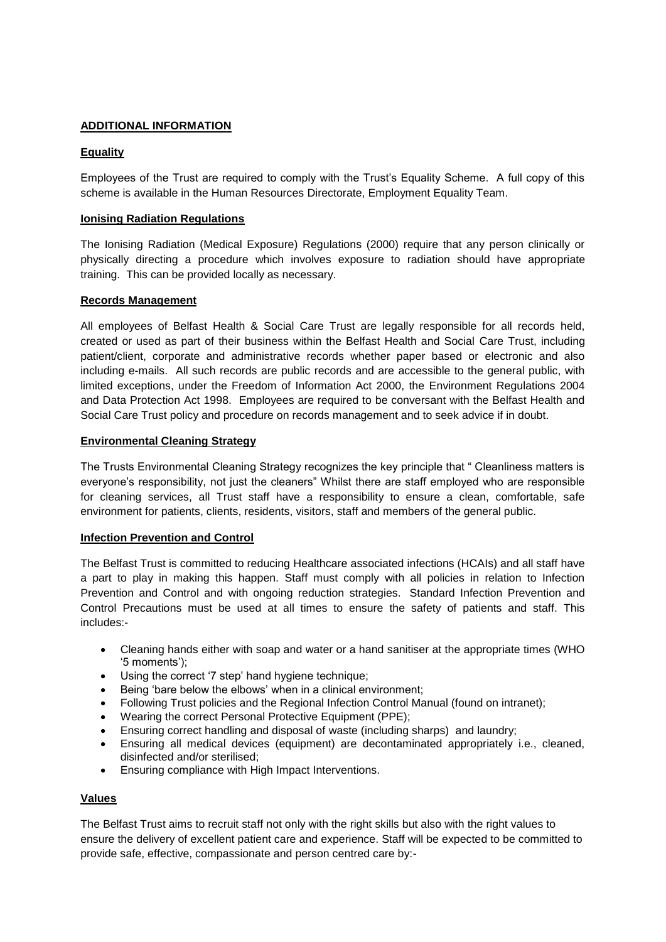# **ADDITIONAL INFORMATION**

# **Equality**

Employees of the Trust are required to comply with the Trust's Equality Scheme. A full copy of this scheme is available in the Human Resources Directorate, Employment Equality Team.

# **Ionising Radiation Regulations**

The Ionising Radiation (Medical Exposure) Regulations (2000) require that any person clinically or physically directing a procedure which involves exposure to radiation should have appropriate training. This can be provided locally as necessary.

#### **Records Management**

All employees of Belfast Health & Social Care Trust are legally responsible for all records held, created or used as part of their business within the Belfast Health and Social Care Trust, including patient/client, corporate and administrative records whether paper based or electronic and also including e-mails. All such records are public records and are accessible to the general public, with limited exceptions, under the Freedom of Information Act 2000, the Environment Regulations 2004 and Data Protection Act 1998. Employees are required to be conversant with the Belfast Health and Social Care Trust policy and procedure on records management and to seek advice if in doubt.

#### **Environmental Cleaning Strategy**

The Trusts Environmental Cleaning Strategy recognizes the key principle that " Cleanliness matters is everyone's responsibility, not just the cleaners" Whilst there are staff employed who are responsible for cleaning services, all Trust staff have a responsibility to ensure a clean, comfortable, safe environment for patients, clients, residents, visitors, staff and members of the general public.

# **Infection Prevention and Control**

The Belfast Trust is committed to reducing Healthcare associated infections (HCAIs) and all staff have a part to play in making this happen. Staff must comply with all policies in relation to Infection Prevention and Control and with ongoing reduction strategies. Standard Infection Prevention and Control Precautions must be used at all times to ensure the safety of patients and staff. This includes:-

- Cleaning hands either with soap and water or a hand sanitiser at the appropriate times (WHO '5 moments');
- Using the correct '7 step' hand hygiene technique:
- Being 'bare below the elbows' when in a clinical environment;
- Following Trust policies and the Regional Infection Control Manual (found on intranet);
- Wearing the correct Personal Protective Equipment (PPE);
- Ensuring correct handling and disposal of waste (including sharps) and laundry;
- Ensuring all medical devices (equipment) are decontaminated appropriately i.e., cleaned, disinfected and/or sterilised;
- Ensuring compliance with High Impact Interventions.

# **Values**

The Belfast Trust aims to recruit staff not only with the right skills but also with the right values to ensure the delivery of excellent patient care and experience. Staff will be expected to be committed to provide safe, effective, compassionate and person centred care by:-